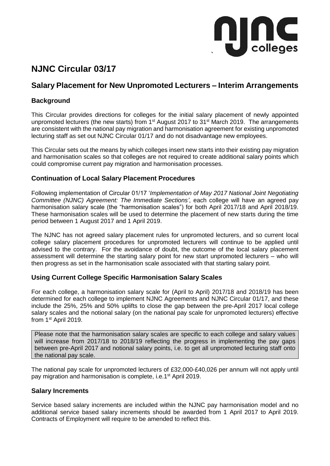

# **NJNC Circular 03/17**

# **Salary Placement for New Unpromoted Lecturers – Interim Arrangements**

# **Background**

This Circular provides directions for colleges for the initial salary placement of newly appointed unpromoted lecturers (the new starts) from 1<sup>st</sup> August 2017 to 31<sup>st</sup> March 2019. The arrangements are consistent with the national pay migration and harmonisation agreement for existing unpromoted lecturing staff as set out NJNC Circular 01/17 and do not disadvantage new employees.

This Circular sets out the means by which colleges insert new starts into their existing pay migration and harmonisation scales so that colleges are not required to create additional salary points which could compromise current pay migration and harmonisation processes.

# **Continuation of Local Salary Placement Procedures**

Following implementation of Circular 01/17 '*Implementation of May 2017 National Joint Negotiating Committee (NJNC) Agreement: The Immediate Sections'*, each college will have an agreed pay harmonisation salary scale (the "harmonisation scales") for both April 2017/18 and April 2018/19. These harmonisation scales will be used to determine the placement of new starts during the time period between 1 August 2017 and 1 April 2019.

The NJNC has not agreed salary placement rules for unpromoted lecturers, and so current local college salary placement procedures for unpromoted lecturers will continue to be applied until advised to the contrary. For the avoidance of doubt, the outcome of the local salary placement assessment will determine the starting salary point for new start unpromoted lecturers – who will then progress as set in the harmonisation scale associated with that starting salary point.

# **Using Current College Specific Harmonisation Salary Scales**

For each college, a harmonisation salary scale for (April to April) 2017/18 and 2018/19 has been determined for each college to implement NJNC Agreements and NJNC Circular 01/17, and these include the 25%, 25% and 50% uplifts to close the gap between the pre-April 2017 local college salary scales and the notional salary (on the national pay scale for unpromoted lecturers) effective from 1<sup>st</sup> April 2019.

Please note that the harmonisation salary scales are specific to each college and salary values will increase from 2017/18 to 2018/19 reflecting the progress in implementing the pay gaps between pre-April 2017 and notional salary points, i.e. to get all unpromoted lecturing staff onto the national pay scale.

The national pay scale for unpromoted lecturers of £32,000-£40,026 per annum will not apply until pay migration and harmonisation is complete, i.e.1<sup>st</sup> April 2019.

# **Salary Increments**

Service based salary increments are included within the NJNC pay harmonisation model and no additional service based salary increments should be awarded from 1 April 2017 to April 2019. Contracts of Employment will require to be amended to reflect this.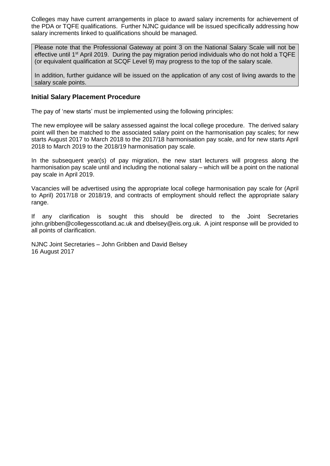Colleges may have current arrangements in place to award salary increments for achievement of the PDA or TQFE qualifications. Further NJNC guidance will be issued specifically addressing how salary increments linked to qualifications should be managed.

Please note that the Professional Gateway at point 3 on the National Salary Scale will not be effective until 1<sup>st</sup> April 2019. During the pay migration period individuals who do not hold a TQFE (or equivalent qualification at SCQF Level 9) may progress to the top of the salary scale.

In addition, further guidance will be issued on the application of any cost of living awards to the salary scale points.

#### **Initial Salary Placement Procedure**

The pay of 'new starts' must be implemented using the following principles:

The new employee will be salary assessed against the local college procedure. The derived salary point will then be matched to the associated salary point on the harmonisation pay scales; for new starts August 2017 to March 2018 to the 2017/18 harmonisation pay scale, and for new starts April 2018 to March 2019 to the 2018/19 harmonisation pay scale.

In the subsequent year(s) of pay migration, the new start lecturers will progress along the harmonisation pay scale until and including the notional salary – which will be a point on the national pay scale in April 2019.

Vacancies will be advertised using the appropriate local college harmonisation pay scale for (April to April) 2017/18 or 2018/19, and contracts of employment should reflect the appropriate salary range.

If any clarification is sought this should be directed to the Joint Secretaries john.gribben@collegesscotland.ac.uk and dbelsey@eis.org.uk. A joint response will be provided to all points of clarification.

NJNC Joint Secretaries – John Gribben and David Belsey 16 August 2017